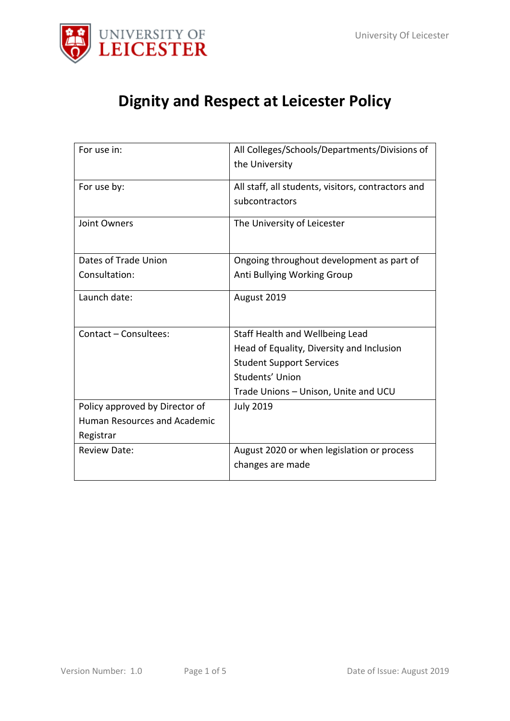

# **Dignity and Respect at Leicester Policy**

| For use in:                    | All Colleges/Schools/Departments/Divisions of      |
|--------------------------------|----------------------------------------------------|
|                                | the University                                     |
| For use by:                    | All staff, all students, visitors, contractors and |
|                                | subcontractors                                     |
| <b>Joint Owners</b>            | The University of Leicester                        |
|                                |                                                    |
| Dates of Trade Union           | Ongoing throughout development as part of          |
| Consultation:                  | Anti Bullying Working Group                        |
| Launch date:                   | August 2019                                        |
|                                |                                                    |
| Contact - Consultees:          | Staff Health and Wellbeing Lead                    |
|                                | Head of Equality, Diversity and Inclusion          |
|                                | <b>Student Support Services</b>                    |
|                                | Students' Union                                    |
|                                | Trade Unions - Unison, Unite and UCU               |
| Policy approved by Director of | <b>July 2019</b>                                   |
| Human Resources and Academic   |                                                    |
| Registrar                      |                                                    |
| <b>Review Date:</b>            | August 2020 or when legislation or process         |
|                                | changes are made                                   |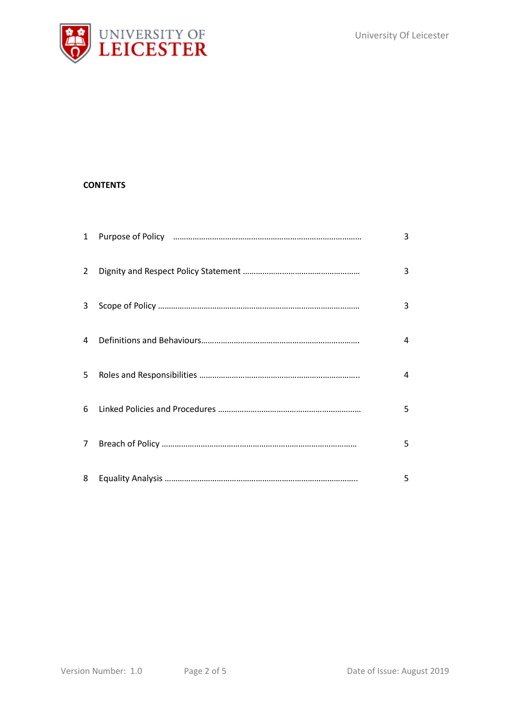

## **CONTENTS**

| $\mathbf{1}$   | 3 |
|----------------|---|
| 2              | 3 |
| 3              | 3 |
| 4              | 4 |
| 5              | 4 |
| 6              | 5 |
| $\overline{7}$ | 5 |
| 8              | 5 |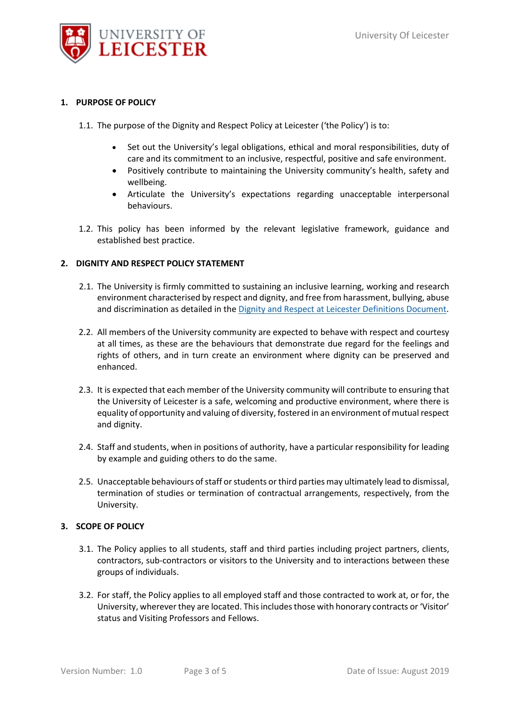

## **1. PURPOSE OF POLICY**

- 1.1. The purpose of the Dignity and Respect Policy at Leicester ('the Policy') is to:
	- Set out the University's legal obligations, ethical and moral responsibilities, duty of care and its commitment to an inclusive, respectful, positive and safe environment.
	- Positively contribute to maintaining the University community's health, safety and wellbeing.
	- Articulate the University's expectations regarding unacceptable interpersonal behaviours.
- 1.2. This policy has been informed by the relevant legislative framework, guidance and established best practice.

## **2. DIGNITY AND RESPECT POLICY STATEMENT**

- 2.1. The University is firmly committed to sustaining an inclusive learning, working and research environment characterised by respect and dignity, and free from harassment, bullying, abuse and discrimination as detailed in th[e Dignity and Respect at Leicester Definitions Document.](https://le.ac.uk/-/media/uol/docs/offices/edi/dignity-and-respect-at-leicester-definitions-document.pdf)
- 2.2. All members of the University community are expected to behave with respect and courtesy at all times, as these are the behaviours that demonstrate due regard for the feelings and rights of others, and in turn create an environment where dignity can be preserved and enhanced.
- 2.3. It is expected that each member of the University community will contribute to ensuring that the University of Leicester is a safe, welcoming and productive environment, where there is equality of opportunity and valuing of diversity, fostered in an environment of mutual respect and dignity.
- 2.4. Staff and students, when in positions of authority, have a particular responsibility for leading by example and guiding others to do the same.
- 2.5. Unacceptable behaviours of staff or students or third parties may ultimately lead to dismissal, termination of studies or termination of contractual arrangements, respectively, from the University.

#### **3. SCOPE OF POLICY**

- 3.1. The Policy applies to all students, staff and third parties including project partners, clients, contractors, sub-contractors or visitors to the University and to interactions between these groups of individuals.
- 3.2. For staff, the Policy applies to all employed staff and those contracted to work at, or for, the University, wherever they are located. This includes those with honorary contracts or 'Visitor' status and Visiting Professors and Fellows.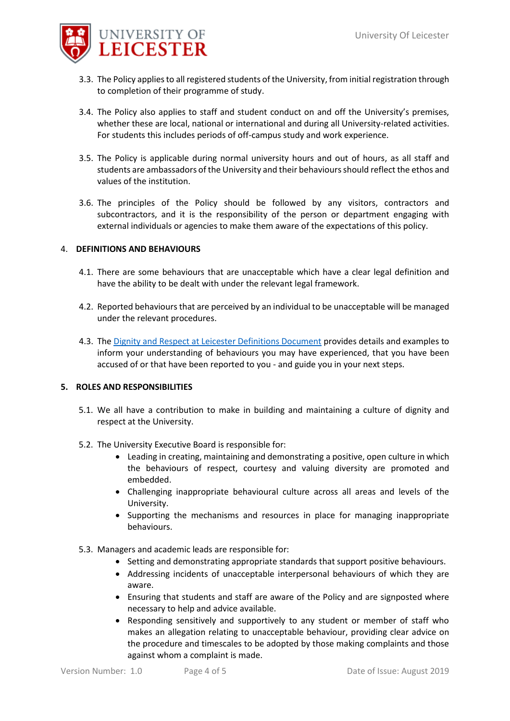

- 3.3. The Policy applies to all registered students of the University, from initial registration through to completion of their programme of study.
- 3.4. The Policy also applies to staff and student conduct on and off the University's premises, whether these are local, national or international and during all University-related activities. For students this includes periods of off-campus study and work experience.
- 3.5. The Policy is applicable during normal university hours and out of hours, as all staff and students are ambassadors of the University and their behaviours should reflect the ethos and values of the institution.
- 3.6. The principles of the Policy should be followed by any visitors, contractors and subcontractors, and it is the responsibility of the person or department engaging with external individuals or agencies to make them aware of the expectations of this policy.

## 4. **DEFINITIONS AND BEHAVIOURS**

- 4.1. There are some behaviours that are unacceptable which have a clear legal definition and have the ability to be dealt with under the relevant legal framework.
- 4.2. Reported behaviours that are perceived by an individual to be unacceptable will be managed under the relevant procedures.
- 4.3. Th[e Dignity and Respect at Leicester Definitions Document](https://le.ac.uk/-/media/uol/docs/offices/edi/dignity-and-respect-at-leicester-definitions-document.pdf) provides details and examples to inform your understanding of behaviours you may have experienced, that you have been accused of or that have been reported to you - and guide you in your next steps.

#### **5. ROLES AND RESPONSIBILITIES**

- 5.1. We all have a contribution to make in building and maintaining a culture of dignity and respect at the University.
- 5.2. The University Executive Board is responsible for:
	- Leading in creating, maintaining and demonstrating a positive, open culture in which the behaviours of respect, courtesy and valuing diversity are promoted and embedded.
	- Challenging inappropriate behavioural culture across all areas and levels of the University.
	- Supporting the mechanisms and resources in place for managing inappropriate behaviours.
- 5.3. Managers and academic leads are responsible for:
	- Setting and demonstrating appropriate standards that support positive behaviours.
	- Addressing incidents of unacceptable interpersonal behaviours of which they are aware.
	- Ensuring that students and staff are aware of the Policy and are signposted where necessary to help and advice available.
	- Responding sensitively and supportively to any student or member of staff who makes an allegation relating to unacceptable behaviour, providing clear advice on the procedure and timescales to be adopted by those making complaints and those against whom a complaint is made.